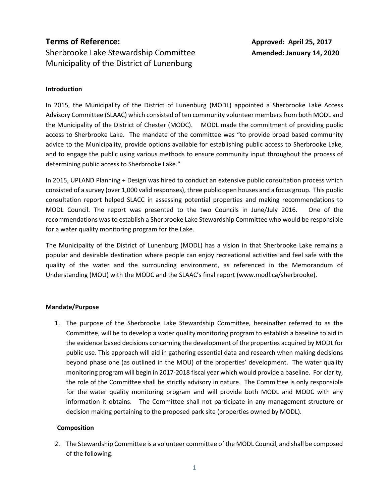# **Terms of Reference: Approved: April 25, 2017** Sherbrooke Lake Stewardship Committee **Amended: January 14, 2020** Municipality of the District of Lunenburg

## **Introduction**

In 2015, the Municipality of the District of Lunenburg (MODL) appointed a Sherbrooke Lake Access Advisory Committee (SLAAC) which consisted of ten community volunteer members from both MODL and the Municipality of the District of Chester (MODC). MODL made the commitment of providing public access to Sherbrooke Lake. The mandate of the committee was "to provide broad based community advice to the Municipality, provide options available for establishing public access to Sherbrooke Lake, and to engage the public using various methods to ensure community input throughout the process of determining public access to Sherbrooke Lake."

In 2015, UPLAND Planning + Design was hired to conduct an extensive public consultation process which consisted of a survey (over 1,000 valid responses), three public open houses and a focus group. This public consultation report helped SLACC in assessing potential properties and making recommendations to MODL Council. The report was presented to the two Councils in June/July 2016. One of the recommendations was to establish a Sherbrooke Lake Stewardship Committee who would be responsible for a water quality monitoring program for the Lake.

The Municipality of the District of Lunenburg (MODL) has a vision in that Sherbrooke Lake remains a popular and desirable destination where people can enjoy recreational activities and feel safe with the quality of the water and the surrounding environment, as referenced in the Memorandum of Understanding (MOU) with the MODC and the SLAAC's final report (www.modl.ca/sherbrooke).

### **Mandate/Purpose**

1. The purpose of the Sherbrooke Lake Stewardship Committee, hereinafter referred to as the Committee, will be to develop a water quality monitoring program to establish a baseline to aid in the evidence based decisions concerning the development of the properties acquired by MODL for public use. This approach will aid in gathering essential data and research when making decisions beyond phase one (as outlined in the MOU) of the properties' development. The water quality monitoring program will begin in 2017-2018 fiscal year which would provide a baseline. For clarity, the role of the Committee shall be strictly advisory in nature. The Committee is only responsible for the water quality monitoring program and will provide both MODL and MODC with any information it obtains. The Committee shall not participate in any management structure or decision making pertaining to the proposed park site (properties owned by MODL).

### **Composition**

2. The Stewardship Committee is a volunteer committee of the MODL Council, and shall be composed of the following: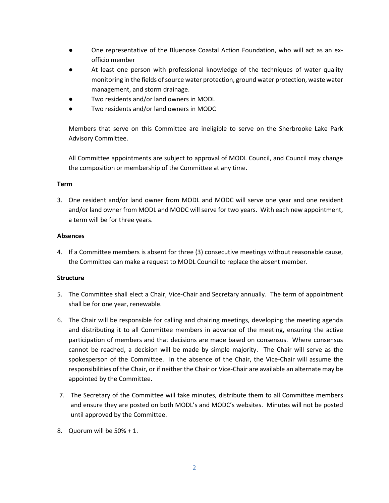- One representative of the Bluenose Coastal Action Foundation, who will act as an exofficio member
- At least one person with professional knowledge of the techniques of water quality monitoring in the fields of source water protection, ground water protection, waste water management, and storm drainage.
- Two residents and/or land owners in MODL
- Two residents and/or land owners in MODC

Members that serve on this Committee are ineligible to serve on the Sherbrooke Lake Park Advisory Committee.

All Committee appointments are subject to approval of MODL Council, and Council may change the composition or membership of the Committee at any time.

### **Term**

3. One resident and/or land owner from MODL and MODC will serve one year and one resident and/or land owner from MODL and MODC will serve for two years. With each new appointment, a term will be for three years.

### **Absences**

4. If a Committee members is absent for three (3) consecutive meetings without reasonable cause, the Committee can make a request to MODL Council to replace the absent member.

### **Structure**

- 5. The Committee shall elect a Chair, Vice-Chair and Secretary annually. The term of appointment shall be for one year, renewable.
- 6. The Chair will be responsible for calling and chairing meetings, developing the meeting agenda and distributing it to all Committee members in advance of the meeting, ensuring the active participation of members and that decisions are made based on consensus. Where consensus cannot be reached, a decision will be made by simple majority. The Chair will serve as the spokesperson of the Committee. In the absence of the Chair, the Vice-Chair will assume the responsibilities of the Chair, or if neither the Chair or Vice-Chair are available an alternate may be appointed by the Committee.
- 7. The Secretary of the Committee will take minutes, distribute them to all Committee members and ensure they are posted on both MODL's and MODC's websites. Minutes will not be posted until approved by the Committee.
- 8. Quorum will be 50% + 1.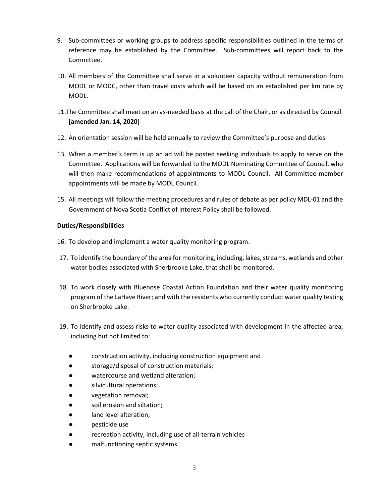- 9. Sub-committees or working groups to address specific responsibilities outlined in the terms of reference may be established by the Committee. Sub-committees will report back to the Committee.
- 10. All members of the Committee shall serve in a volunteer capacity without remuneration from MODL or MODC, other than travel costs which will be based on an established per km rate by MODL.
- 11.The Committee shall meet on an as-needed basis at the call of the Chair, or as directed by Council. **[amended Jan. 14, 2020**]
- 12. An orientation session will be held annually to review the Committee's purpose and duties.
- 13. When a member's term is up an ad will be posted seeking individuals to apply to serve on the Committee. Applications will be forwarded to the MODL Nominating Committee of Council, who will then make recommendations of appointments to MODL Council. All Committee member appointments will be made by MODL Council.
- 15. All meetings will follow the meeting procedures and rules of debate as per policy MDL-01 and the Government of Nova Scotia Conflict of Interest Policy shall be followed.

## **Duties/Responsibilities**

- 16. To develop and implement a water quality monitoring program.
- 17. To identify the boundary of the area for monitoring, including, lakes, streams, wetlands and other water bodies associated with Sherbrooke Lake, that shall be monitored.
- 18. To work closely with Bluenose Coastal Action Foundation and their water quality monitoring program of the LaHave River; and with the residents who currently conduct water quality testing on Sherbrooke Lake.
- 19. To identify and assess risks to water quality associated with development in the affected area, including but not limited to:
	- construction activity, including construction equipment and
	- storage/disposal of construction materials;
	- watercourse and wetland alteration;
	- silvicultural operations;
	- vegetation removal;
	- soil erosion and siltation;
	- land level alteration;
	- pesticide use
	- recreation activity, including use of all-terrain vehicles
	- malfunctioning septic systems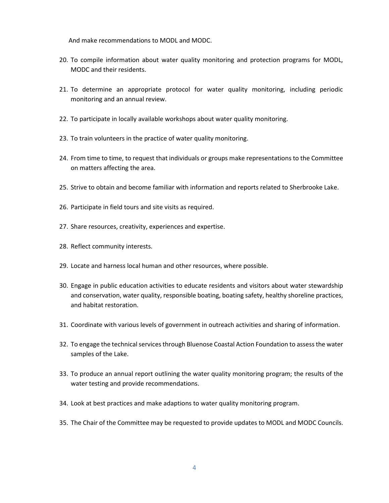And make recommendations to MODL and MODC.

- 20. To compile information about water quality monitoring and protection programs for MODL, MODC and their residents.
- 21. To determine an appropriate protocol for water quality monitoring, including periodic monitoring and an annual review.
- 22. To participate in locally available workshops about water quality monitoring.
- 23. To train volunteers in the practice of water quality monitoring.
- 24. From time to time, to request that individuals or groups make representations to the Committee on matters affecting the area.
- 25. Strive to obtain and become familiar with information and reports related to Sherbrooke Lake.
- 26. Participate in field tours and site visits as required.
- 27. Share resources, creativity, experiences and expertise.
- 28. Reflect community interests.
- 29. Locate and harness local human and other resources, where possible.
- 30. Engage in public education activities to educate residents and visitors about water stewardship and conservation, water quality, responsible boating, boating safety, healthy shoreline practices, and habitat restoration.
- 31. Coordinate with various levels of government in outreach activities and sharing of information.
- 32. To engage the technical services through Bluenose Coastal Action Foundation to assess the water samples of the Lake.
- 33. To produce an annual report outlining the water quality monitoring program; the results of the water testing and provide recommendations.
- 34. Look at best practices and make adaptions to water quality monitoring program.
- 35. The Chair of the Committee may be requested to provide updates to MODL and MODC Councils.